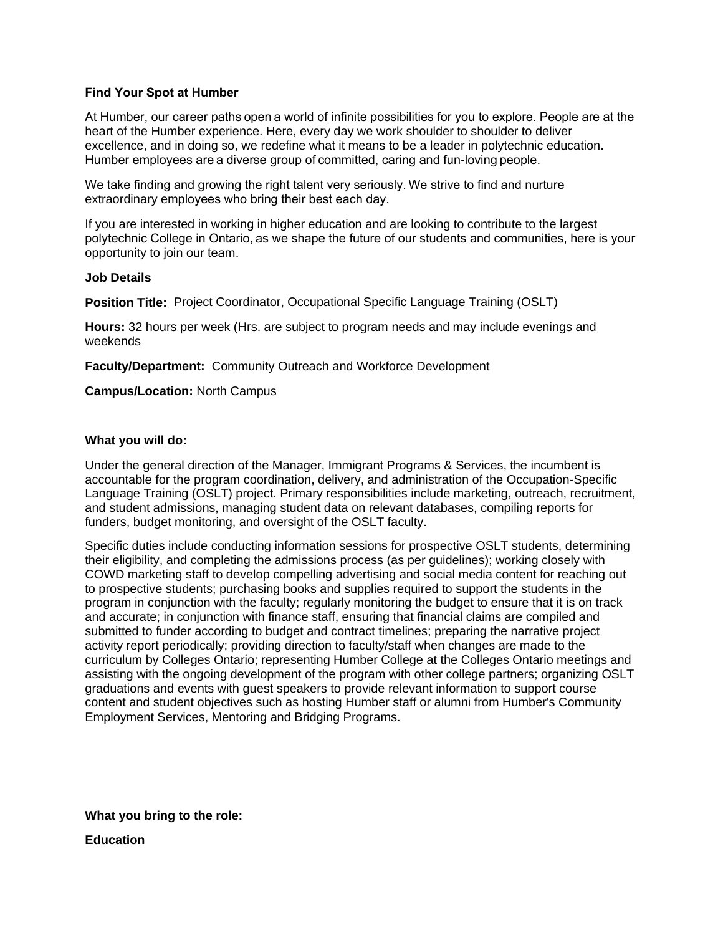### **Find Your Spot at Humber**

At Humber, our career paths open a world of infinite possibilities for you to explore. People are at the heart of the Humber experience. Here, every day we work shoulder to shoulder to deliver excellence, and in doing so, we redefine what it means to be a leader in polytechnic education. Humber employees are a diverse group of committed, caring and fun-loving people.

We take finding and growing the right talent very seriously. We strive to find and nurture extraordinary employees who bring their best each day. 

If you are interested in working in higher education and are looking to contribute to the largest polytechnic College in Ontario, as we shape the future of our students and communities, here is your opportunity to join our team. 

#### **Job Details**

**Position Title:** Project Coordinator, Occupational Specific Language Training (OSLT)

**Hours:** 32 hours per week (Hrs. are subject to program needs and may include evenings and weekends

**Faculty/Department:** Community Outreach and Workforce Development

**Campus/Location:** North Campus

### **What you will do:**

Under the general direction of the Manager, Immigrant Programs & Services, the incumbent is accountable for the program coordination, delivery, and administration of the Occupation-Specific Language Training (OSLT) project. Primary responsibilities include marketing, outreach, recruitment, and student admissions, managing student data on relevant databases, compiling reports for funders, budget monitoring, and oversight of the OSLT faculty.

Specific duties include conducting information sessions for prospective OSLT students, determining their eligibility, and completing the admissions process (as per guidelines); working closely with COWD marketing staff to develop compelling advertising and social media content for reaching out to prospective students; purchasing books and supplies required to support the students in the program in conjunction with the faculty; regularly monitoring the budget to ensure that it is on track and accurate; in conjunction with finance staff, ensuring that financial claims are compiled and submitted to funder according to budget and contract timelines; preparing the narrative project activity report periodically; providing direction to faculty/staff when changes are made to the curriculum by Colleges Ontario; representing Humber College at the Colleges Ontario meetings and assisting with the ongoing development of the program with other college partners; organizing OSLT graduations and events with guest speakers to provide relevant information to support course content and student objectives such as hosting Humber staff or alumni from Humber's Community Employment Services, Mentoring and Bridging Programs.

**What you bring to the role:**

**Education**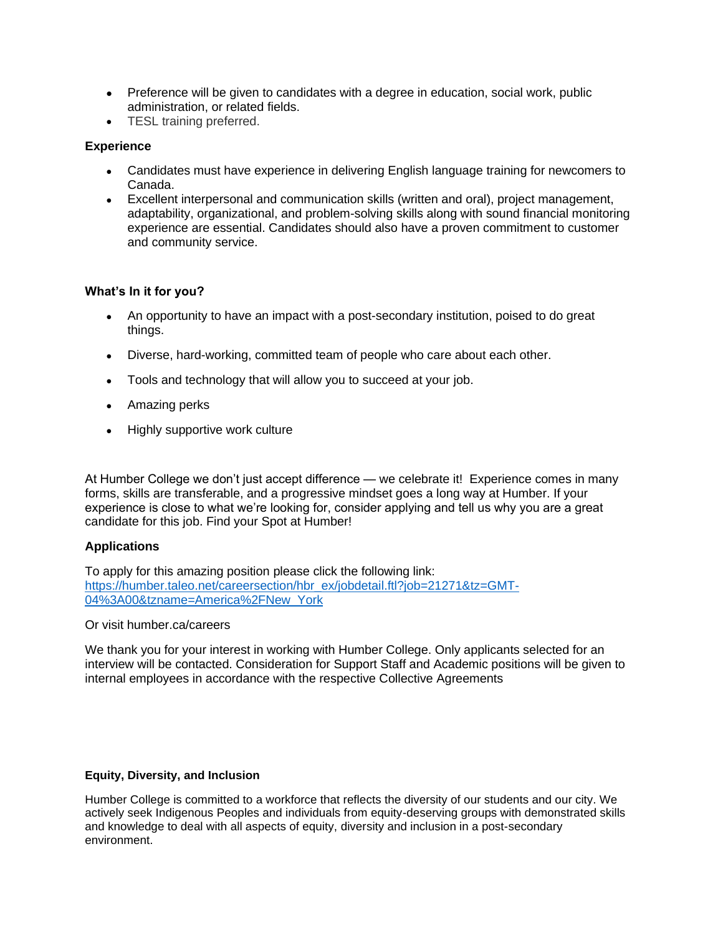- Preference will be given to candidates with a degree in education, social work, public administration, or related fields.
- TESL training preferred.

# **Experience**

- Candidates must have experience in delivering English language training for newcomers to Canada.
- Excellent interpersonal and communication skills (written and oral), project management, adaptability, organizational, and problem-solving skills along with sound financial monitoring experience are essential. Candidates should also have a proven commitment to customer and community service.

# **What's In it for you?**

- An opportunity to have an impact with a post-secondary institution, poised to do great things.
- Diverse, hard-working, committed team of people who care about each other.
- Tools and technology that will allow you to succeed at your job.
- Amazing perks
- Highly supportive work culture

At Humber College we don't just accept difference — we celebrate it! Experience comes in many forms, skills are transferable, and a progressive mindset goes a long way at Humber. If your experience is close to what we're looking for, consider applying and tell us why you are a great candidate for this job. Find your Spot at Humber!

## **Applications**

To apply for this amazing position please click the following link: [https://humber.taleo.net/careersection/hbr\\_ex/jobdetail.ftl?job=21271&tz=GMT-](https://humber.taleo.net/careersection/hbr_ex/jobdetail.ftl?job=21271&tz=GMT-04%3A00&tzname=America%2FNew_York)[04%3A00&tzname=America%2FNew\\_York](https://humber.taleo.net/careersection/hbr_ex/jobdetail.ftl?job=21271&tz=GMT-04%3A00&tzname=America%2FNew_York)

Or visit humber.ca/careers

We thank you for your interest in working with Humber College. Only applicants selected for an interview will be contacted. Consideration for Support Staff and Academic positions will be given to internal employees in accordance with the respective Collective Agreements

## **Equity, Diversity, and Inclusion**

Humber College is committed to a workforce that reflects the diversity of our students and our city. We actively seek Indigenous Peoples and individuals from equity-deserving groups with demonstrated skills and knowledge to deal with all aspects of equity, diversity and inclusion in a post-secondary environment.